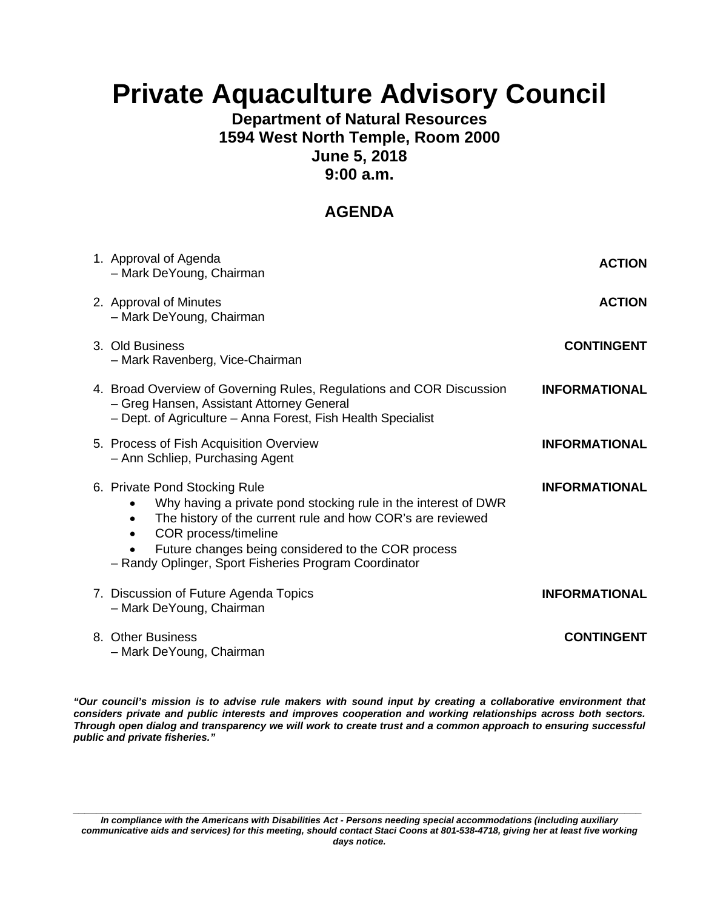# **Private Aquaculture Advisory Council**

### **Department of Natural Resources 1594 West North Temple, Room 2000 June 5, 2018 9:00 a.m.**

## **AGENDA**

| 1. Approval of Agenda<br>- Mark DeYoung, Chairman                                                                                                                                                                                                                                                    | <b>ACTION</b>        |
|------------------------------------------------------------------------------------------------------------------------------------------------------------------------------------------------------------------------------------------------------------------------------------------------------|----------------------|
| 2. Approval of Minutes<br>- Mark DeYoung, Chairman                                                                                                                                                                                                                                                   | <b>ACTION</b>        |
| 3. Old Business<br>- Mark Ravenberg, Vice-Chairman                                                                                                                                                                                                                                                   | <b>CONTINGENT</b>    |
| 4. Broad Overview of Governing Rules, Regulations and COR Discussion<br>- Greg Hansen, Assistant Attorney General<br>- Dept. of Agriculture - Anna Forest, Fish Health Specialist                                                                                                                    | <b>INFORMATIONAL</b> |
| 5. Process of Fish Acquisition Overview<br>- Ann Schliep, Purchasing Agent                                                                                                                                                                                                                           | <b>INFORMATIONAL</b> |
| 6. Private Pond Stocking Rule<br>Why having a private pond stocking rule in the interest of DWR<br>The history of the current rule and how COR's are reviewed<br>COR process/timeline<br>Future changes being considered to the COR process<br>- Randy Oplinger, Sport Fisheries Program Coordinator | <b>INFORMATIONAL</b> |
| 7. Discussion of Future Agenda Topics<br>- Mark DeYoung, Chairman                                                                                                                                                                                                                                    | <b>INFORMATIONAL</b> |
| 8. Other Business<br>- Mark DeYoung, Chairman                                                                                                                                                                                                                                                        | <b>CONTINGENT</b>    |

*"Our council's mission is to advise rule makers with sound input by creating a collaborative environment that considers private and public interests and improves cooperation and working relationships across both sectors. Through open dialog and transparency we will work to create trust and a common approach to ensuring successful public and private fisheries."* 

*\_\_\_\_\_\_\_\_\_\_\_\_\_\_\_\_\_\_\_\_\_\_\_\_\_\_\_\_\_\_\_\_\_\_\_\_\_\_\_\_\_\_\_\_\_\_\_\_\_\_\_\_\_\_\_\_\_\_\_\_\_\_\_\_\_\_\_\_\_\_\_\_\_\_\_\_\_\_\_\_\_\_\_\_\_\_\_\_\_\_\_\_\_\_\_\_\_\_\_ In compliance with the Americans with Disabilities Act - Persons needing special accommodations (including auxiliary communicative aids and services) for this meeting, should contact Staci Coons at 801-538-4718, giving her at least five working days notice.*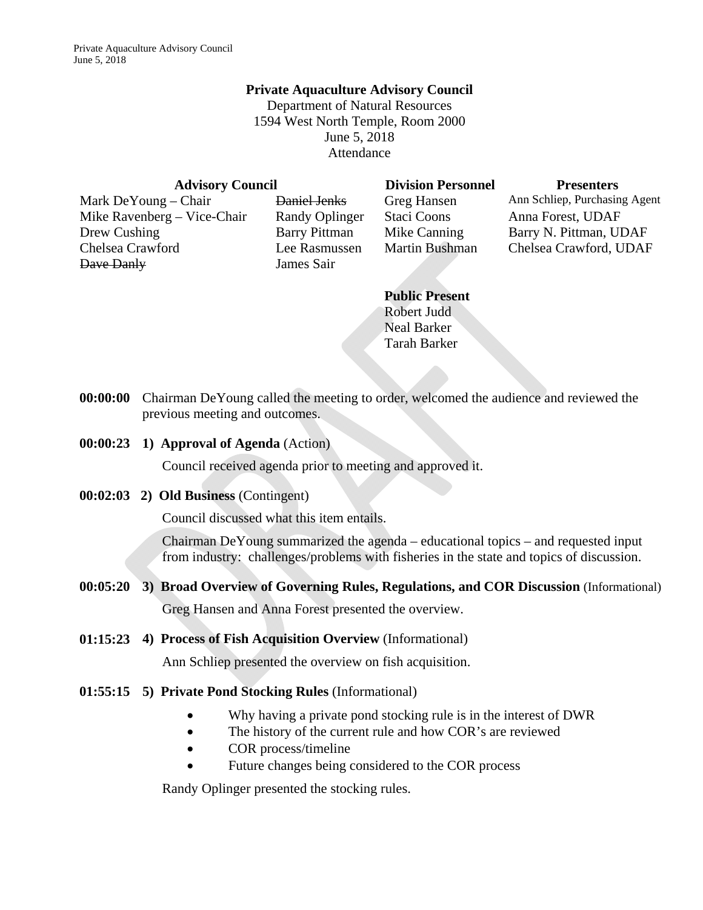#### **Private Aquaculture Advisory Council**

Department of Natural Resources 1594 West North Temple, Room 2000 June 5, 2018 Attendance

| <b>Advisory Council</b>     |                       | <b>Division Personnel</b>     | <b>Presenters</b>             |  |
|-----------------------------|-----------------------|-------------------------------|-------------------------------|--|
| Mark DeYoung – Chair        | Daniel Jenks          | Greg Hansen                   | Ann Schliep, Purchasing Agent |  |
| Mike Ravenberg – Vice-Chair | <b>Randy Oplinger</b> | Staci Coons                   | Anna Forest, UDAF             |  |
| Drew Cushing                | <b>Barry Pittman</b>  | Mike Canning                  | Barry N. Pittman, UDAF        |  |
| Chelsea Crawford            | Lee Rasmussen         | <b>Martin Bushman</b>         | Chelsea Crawford, UDAF        |  |
| Dave Danly                  | James Sair            |                               |                               |  |
|                             |                       | $\mathbf{D}$ 11' $\mathbf{D}$ |                               |  |

**Public Present** Robert Judd Neal Barker Tarah Barker

- **00:00:00** Chairman DeYoung called the meeting to order, welcomed the audience and reviewed the previous meeting and outcomes.
- **00:00:23 1) Approval of Agenda** (Action)

Council received agenda prior to meeting and approved it.

**00:02:03 2) Old Business** (Contingent)

Council discussed what this item entails.

Chairman DeYoung summarized the agenda – educational topics – and requested input from industry: challenges/problems with fisheries in the state and topics of discussion.

- **00:05:20 3) Broad Overview of Governing Rules, Regulations, and COR Discussion** (Informational) Greg Hansen and Anna Forest presented the overview.
- **01:15:23 4) Process of Fish Acquisition Overview** (Informational)

Ann Schliep presented the overview on fish acquisition.

- **01:55:15 5) Private Pond Stocking Rules** (Informational)
	- Why having a private pond stocking rule is in the interest of DWR
	- The history of the current rule and how COR's are reviewed
	- COR process/timeline
	- Future changes being considered to the COR process

Randy Oplinger presented the stocking rules.